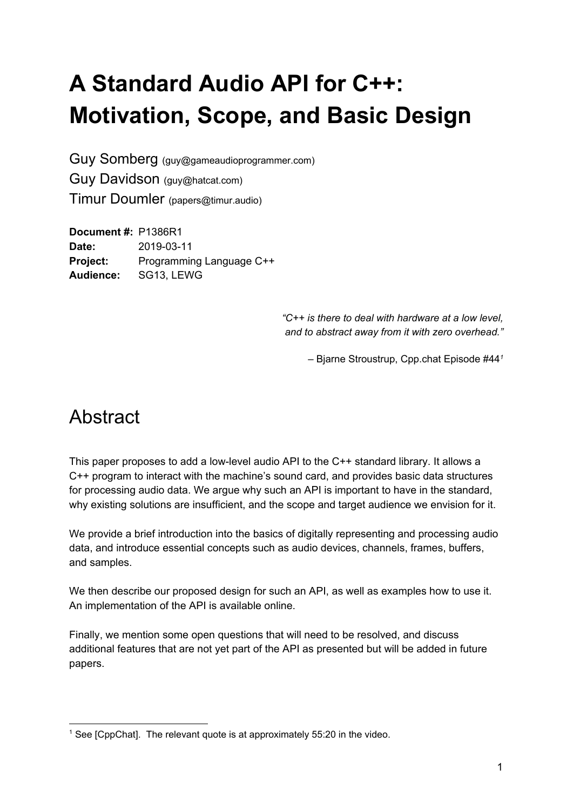# **A Standard Audio API for C++: Motivation, Scope, and Basic Design**

Guy Somberg (guy@gameaudioprogrammer.com) Guy Davidson (guy@hatcat.com) Timur Doumler (papers@timur.audio)

**Document #:** P1386R1 **Date:** 2019-03-11 **Project:** Programming Language C++ **Audience:** SG13, LEWG

> *"C++ is there to deal with hardware at a low level, and to abstract away from it with zero overhead."*

> > – Bjarne Stroustrup, Cpp.chat Episode #44*<sup>1</sup>*

## **Abstract**

This paper proposes to add a low-level audio API to the C++ standard library. It allows a C++ program to interact with the machine's sound card, and provides basic data structures for processing audio data. We argue why such an API is important to have in the standard, why existing solutions are insufficient, and the scope and target audience we envision for it.

We provide a brief introduction into the basics of digitally representing and processing audio data, and introduce essential concepts such as audio devices, channels, frames, buffers, and samples.

We then describe our proposed design for such an API, as well as examples how to use it. An implementation of the API is available online.

Finally, we mention some open questions that will need to be resolved, and discuss additional features that are not yet part of the API as presented but will be added in future papers.

<sup>&</sup>lt;sup>1</sup> See [CppChat]. The relevant quote is at approximately  $55:20$  in the video.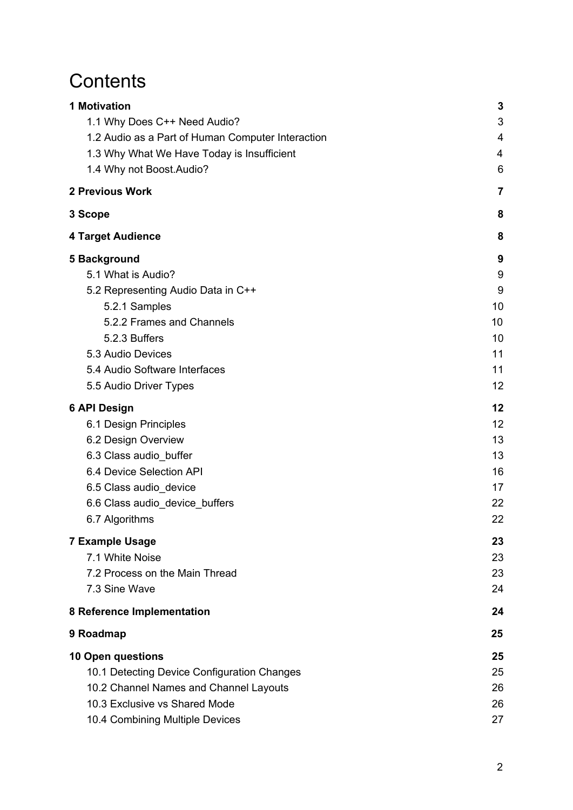## **Contents**

| <b>1 Motivation</b>                               | 3              |
|---------------------------------------------------|----------------|
| 1.1 Why Does C++ Need Audio?                      | 3              |
| 1.2 Audio as a Part of Human Computer Interaction | 4              |
| 1.3 Why What We Have Today is Insufficient        | 4              |
| 1.4 Why not Boost. Audio?                         | 6              |
| <b>2 Previous Work</b>                            | $\overline{7}$ |
| 3 Scope                                           | 8              |
| <b>4 Target Audience</b>                          | 8              |
| 5 Background                                      | 9              |
| 5.1 What is Audio?                                | 9              |
| 5.2 Representing Audio Data in C++                | 9              |
| 5.2.1 Samples                                     | 10             |
| 5.2.2 Frames and Channels                         | 10             |
| 5.2.3 Buffers                                     | 10             |
| 5.3 Audio Devices                                 | 11             |
| 5.4 Audio Software Interfaces                     | 11             |
| 5.5 Audio Driver Types                            | 12             |
| <b>6 API Design</b>                               | 12             |
| 6.1 Design Principles                             | 12             |
| 6.2 Design Overview                               | 13             |
| 6.3 Class audio_buffer                            | 13             |
| 6.4 Device Selection API                          | 16             |
| 6.5 Class audio_device                            | 17             |
| 6.6 Class audio_device_buffers                    | 22             |
| 6.7 Algorithms                                    | 22             |
| <b>7 Example Usage</b>                            | 23             |
| 7.1 White Noise                                   | 23             |
| 7.2 Process on the Main Thread                    | 23             |
| 7.3 Sine Wave                                     | 24             |
| 8 Reference Implementation                        | 24             |
| 9 Roadmap                                         | 25             |
| <b>10 Open questions</b>                          | 25             |
| 10.1 Detecting Device Configuration Changes       | 25             |
| 10.2 Channel Names and Channel Layouts            | 26             |
| 10.3 Exclusive vs Shared Mode                     | 26             |
| 10.4 Combining Multiple Devices                   | 27             |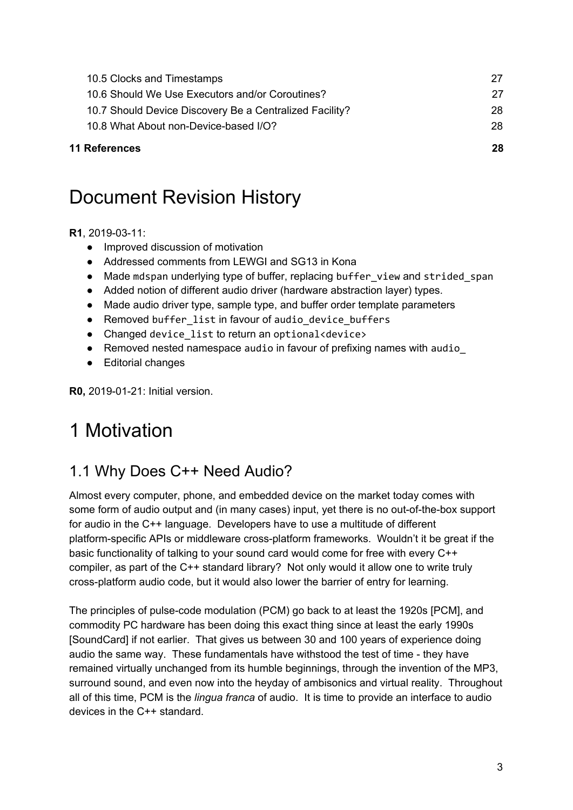| <b>11 References</b>                                    | 28  |
|---------------------------------------------------------|-----|
| 10.8 What About non-Device-based I/O?                   | 28  |
| 10.7 Should Device Discovery Be a Centralized Facility? | 28. |
| 10.6 Should We Use Executors and/or Coroutines?         | 27  |
| 10.5 Clocks and Timestamps                              | 27  |
|                                                         |     |

## Document Revision History

#### **R1**, 2019-03-11:

- Improved discussion of motivation
- Addressed comments from LEWGI and SG13 in Kona
- Made mdspan underlying type of buffer, replacing buffer view and strided span
- Added notion of different audio driver (hardware abstraction layer) types.
- Made audio driver type, sample type, and buffer order template parameters
- Removed buffer list in favour of audio device buffers
- Changed device list to return an optional<device>
- Removed nested namespace audio in favour of prefixing names with audio
- Editorial changes

<span id="page-2-0"></span>**R0,** 2019-01-21: Initial version.

# 1 Motivation

### <span id="page-2-1"></span>1.1 Why Does C++ Need Audio?

Almost every computer, phone, and embedded device on the market today comes with some form of audio output and (in many cases) input, yet there is no out-of-the-box support for audio in the C++ language. Developers have to use a multitude of different platform-specific APIs or middleware cross-platform frameworks. Wouldn't it be great if the basic functionality of talking to your sound card would come for free with every C++ compiler, as part of the C++ standard library? Not only would it allow one to write truly cross-platform audio code, but it would also lower the barrier of entry for learning.

The principles of pulse-code modulation (PCM) go back to at least the 1920s [PCM], and commodity PC hardware has been doing this exact thing since at least the early 1990s [SoundCard] if not earlier. That gives us between 30 and 100 years of experience doing audio the same way. These fundamentals have withstood the test of time - they have remained virtually unchanged from its humble beginnings, through the invention of the MP3, surround sound, and even now into the heyday of ambisonics and virtual reality. Throughout all of this time, PCM is the *lingua franca* of audio. It is time to provide an interface to audio devices in the C++ standard.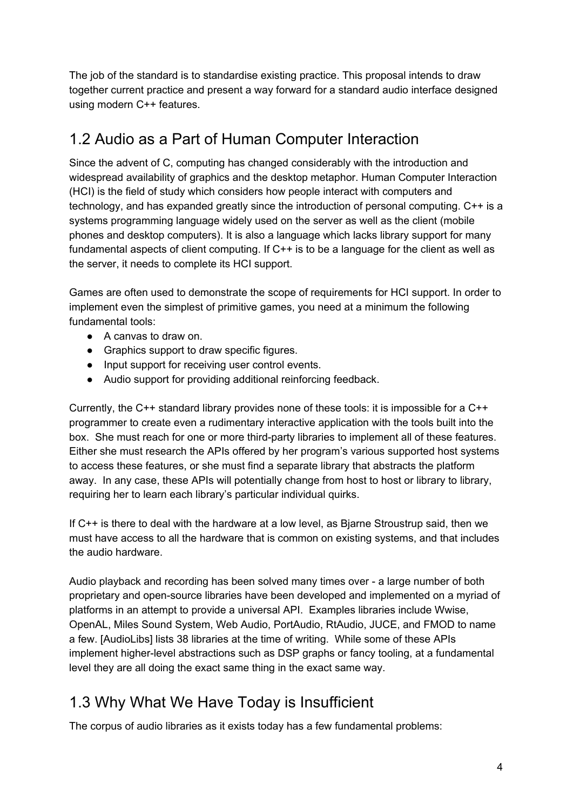The job of the standard is to standardise existing practice. This proposal intends to draw together current practice and present a way forward for a standard audio interface designed using modern C++ features.

### <span id="page-3-0"></span>1.2 Audio as a Part of Human Computer Interaction

Since the advent of C, computing has changed considerably with the introduction and widespread availability of graphics and the desktop metaphor. Human Computer Interaction (HCI) is the field of study which considers how people interact with computers and technology, and has expanded greatly since the introduction of personal computing. C++ is a systems programming language widely used on the server as well as the client (mobile phones and desktop computers). It is also a language which lacks library support for many fundamental aspects of client computing. If C++ is to be a language for the client as well as the server, it needs to complete its HCI support.

Games are often used to demonstrate the scope of requirements for HCI support. In order to implement even the simplest of primitive games, you need at a minimum the following fundamental tools:

- A canvas to draw on.
- Graphics support to draw specific figures.
- Input support for receiving user control events.
- Audio support for providing additional reinforcing feedback.

Currently, the C++ standard library provides none of these tools: it is impossible for a C++ programmer to create even a rudimentary interactive application with the tools built into the box. She must reach for one or more third-party libraries to implement all of these features. Either she must research the APIs offered by her program's various supported host systems to access these features, or she must find a separate library that abstracts the platform away. In any case, these APIs will potentially change from host to host or library to library, requiring her to learn each library's particular individual quirks.

If C++ is there to deal with the hardware at a low level, as Bjarne Stroustrup said, then we must have access to all the hardware that is common on existing systems, and that includes the audio hardware.

Audio playback and recording has been solved many times over - a large number of both proprietary and open-source libraries have been developed and implemented on a myriad of platforms in an attempt to provide a universal API. Examples libraries include Wwise, OpenAL, Miles Sound System, Web Audio, PortAudio, RtAudio, JUCE, and FMOD to name a few. [AudioLibs] lists 38 libraries at the time of writing. While some of these APIs implement higher-level abstractions such as DSP graphs or fancy tooling, at a fundamental level they are all doing the exact same thing in the exact same way.

### <span id="page-3-1"></span>1.3 Why What We Have Today is Insufficient

The corpus of audio libraries as it exists today has a few fundamental problems: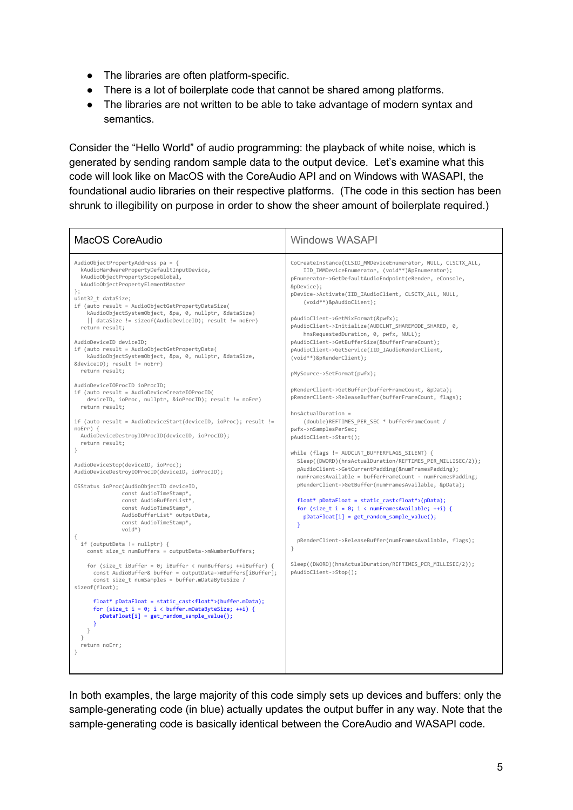- The libraries are often platform-specific.
- There is a lot of boilerplate code that cannot be shared among platforms.
- The libraries are not written to be able to take advantage of modern syntax and semantics.

Consider the "Hello World" of audio programming: the playback of white noise, which is generated by sending random sample data to the output device. Let's examine what this code will look like on MacOS with the CoreAudio API and on Windows with WASAPI, the foundational audio libraries on their respective platforms. (The code in this section has been shrunk to illegibility on purpose in order to show the sheer amount of boilerplate required.)

| MacOS CoreAudio                                                                                                                                                                                                                                                                                                                                                                                                                                                                                                                                                                                                                                                                                                                                                                                                                                                                                                                                                                                                                                                                                                                                                                                                                                                                                                                                                                                                                                                                                                                                                                                                | <b>Windows WASAPI</b>                                                                                                                                                                                                                                                                                                                                                                                                                                                                                                                                                                                                                                                                                                                                                                                                                                                                                                                                                                                                                                                                                                                                                                                                                                                                                                                                                                                                                              |
|----------------------------------------------------------------------------------------------------------------------------------------------------------------------------------------------------------------------------------------------------------------------------------------------------------------------------------------------------------------------------------------------------------------------------------------------------------------------------------------------------------------------------------------------------------------------------------------------------------------------------------------------------------------------------------------------------------------------------------------------------------------------------------------------------------------------------------------------------------------------------------------------------------------------------------------------------------------------------------------------------------------------------------------------------------------------------------------------------------------------------------------------------------------------------------------------------------------------------------------------------------------------------------------------------------------------------------------------------------------------------------------------------------------------------------------------------------------------------------------------------------------------------------------------------------------------------------------------------------------|----------------------------------------------------------------------------------------------------------------------------------------------------------------------------------------------------------------------------------------------------------------------------------------------------------------------------------------------------------------------------------------------------------------------------------------------------------------------------------------------------------------------------------------------------------------------------------------------------------------------------------------------------------------------------------------------------------------------------------------------------------------------------------------------------------------------------------------------------------------------------------------------------------------------------------------------------------------------------------------------------------------------------------------------------------------------------------------------------------------------------------------------------------------------------------------------------------------------------------------------------------------------------------------------------------------------------------------------------------------------------------------------------------------------------------------------------|
| AudioObjectPropertyAddress pa = {<br>kAudioHardwarePropertyDefaultInputDevice,<br>kAudioObjectPropertyScopeGlobal,<br>kAudioObjectPropertyElementMaster<br>$\}$ ;<br>uint32 t dataSize;<br>if (auto result = AudioObjectGetPropertyDataSize(<br>kAudioObjectSystemObject, &pa, 0, nullptr, &dataSize)<br>   dataSize != sizeof(AudioDeviceID); result != noErr)<br>return result;<br>AudioDeviceID deviceID:<br>if (auto result = AudioObjectGetPropertyData(<br>kAudioObjectSystemObject, &pa, 0, nullptr, &dataSize,<br>return result;<br>AudioDeviceIOProcID ioProcID:<br>if (auto result = AudioDeviceCreateIOProcID(<br>deviceID, ioProc, nullptr, &ioProcID); result != noErr)<br>return result;<br>if (auto result = AudioDeviceStart(deviceID, ioProc); result !=<br>$noErr)$ {<br>AudioDeviceDestroyIOProcID(deviceID, ioProcID);<br>return result;<br>}<br>AudioDeviceStop(deviceID, ioProc);<br>AudioDeviceDestroyIOProcID(deviceID, ioProcID);<br>OSStatus ioProc(AudioObjectID deviceID,<br>const AudioTimeStamp*,<br>const AudioBufferList*.<br>const AudioTimeStamp*,<br>AudioBufferList* outputData,<br>const AudioTimeStamp*,<br>$void*)$<br>if (outputData != $nullptr)$ {<br>const size t numBuffers = outputData->mNumberBuffers;<br>for (size t iBuffer = 0; iBuffer < numBuffers; ++iBuffer) {<br>const AudioBuffer& buffer = outputData->mBuffers[iBuffer];<br>const size t numSamples = buffer.mDataByteSize /<br>sizeof(float);<br>$float* pDataFloat = static castfor (size t i = \theta; i < buffer.mDataByteSize; ++i) {pDataFloat[i] = get random sample value();}return noErr;}$ | CoCreateInstance(CLSID MMDeviceEnumerator, NULL, CLSCTX ALL,<br>IID IMMDeviceEnumerator, (void**)&pEnumerator);<br>pEnumerator->GetDefaultAudioEndpoint(eRender, eConsole,<br>&pDevice);<br>pDevice->Activate(IID IAudioClient, CLSCTX ALL, NULL,<br>(void**)&pAudioClient);<br>pAudioClient->GetMixFormat(&pwfx);<br>pAudioClient->Initialize(AUDCLNT SHAREMODE SHARED, 0,<br>hnsRequestedDuration, 0, pwfx, NULL);<br>pAudioClient->GetBufferSize(&bufferFrameCount);<br>pAudioClient->GetService(IID IAudioRenderClient,<br>(void**)&pRenderClient);<br>pMySource->SetFormat(pwfx);<br>pRenderClient->GetBuffer(bufferFrameCount, &pData);<br>pRenderClient->ReleaseBuffer(bufferFrameCount, flags);<br>$hnsActualDuration =$<br>(double)REFTIMES PER SEC * bufferFrameCount /<br>pwfx->nSamplesPerSec;<br>pAudioClient->Start();<br>while (flags != AUDCLNT BUFFERFLAGS SILENT) {<br>Sleep((DWORD)(hnsActualDuration/REFTIMES PER MILLISEC/2));<br>pAudioClient->GetCurrentPadding(&numFramesPadding);<br>numFramesAvailable = bufferFrameCount - numFramesPadding:<br>pRenderClient->GetBuffer(numFramesAvailable, &pData);<br>$float* pDataFloat = static cast(pData);$<br>for (size $t$ i = 0; i < numFramesAvailable; ++i) {<br>$pDataFloat[i] = get random sample value();$<br>₹.<br>pRenderClient->ReleaseBuffer(numFramesAvailable, flags);<br>ł<br>Sleep((DWORD)(hnsActualDuration/REFTIMES PER MILLISEC/2));<br>pAudioClient->Stop(); |

In both examples, the large majority of this code simply sets up devices and buffers: only the sample-generating code (in blue) actually updates the output buffer in any way. Note that the sample-generating code is basically identical between the CoreAudio and WASAPI code.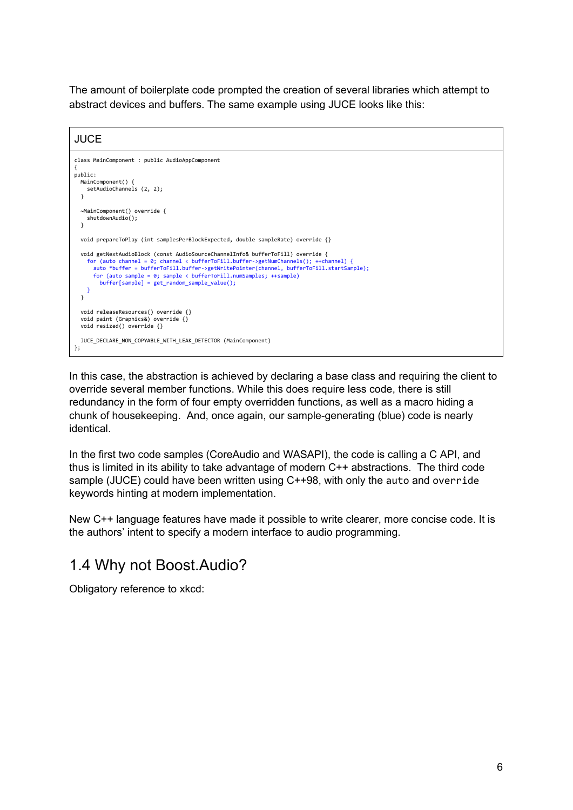The amount of boilerplate code prompted the creation of several libraries which attempt to abstract devices and buffers. The same example using JUCE looks like this:

#### **JUCE**

```
class MainComponent : public AudioAppComponent
{
public:
   MainComponent() {
     setAudioChannels (2, 2);
   }
   ~MainComponent() override {
     shutdownAudio();
   }
   void prepareToPlay (int samplesPerBlockExpected, double sampleRate) override {}
   void getNextAudioBlock (const AudioSourceChannelInfo& bufferToFill) override {
for (auto channel = 0; channel < bufferToFill.buffer->getNumChannels(); ++channel) {<br>auto *buffer = bufferToFill.buffer->getWritePointer(channel, bufferToFill.startSample);<br>for (auto sample = 0; sample < bufferToFill.numSa
          buffer[sample] = get_random_sample_value();
     }
   }
   void releaseResources() override {}
   void paint (Graphics&) override {}
   void resized() override {}
   JUCE_DECLARE_NON_COPYABLE_WITH_LEAK_DETECTOR (MainComponent)
};
```
In this case, the abstraction is achieved by declaring a base class and requiring the client to override several member functions. While this does require less code, there is still redundancy in the form of four empty overridden functions, as well as a macro hiding a chunk of housekeeping. And, once again, our sample-generating (blue) code is nearly identical.

In the first two code samples (CoreAudio and WASAPI), the code is calling a C API, and thus is limited in its ability to take advantage of modern C++ abstractions. The third code sample (JUCE) could have been written using C++98, with only the auto and override keywords hinting at modern implementation.

New C++ language features have made it possible to write clearer, more concise code. It is the authors' intent to specify a modern interface to audio programming.

#### <span id="page-5-0"></span>1.4 Why not Boost.Audio?

Obligatory reference to xkcd: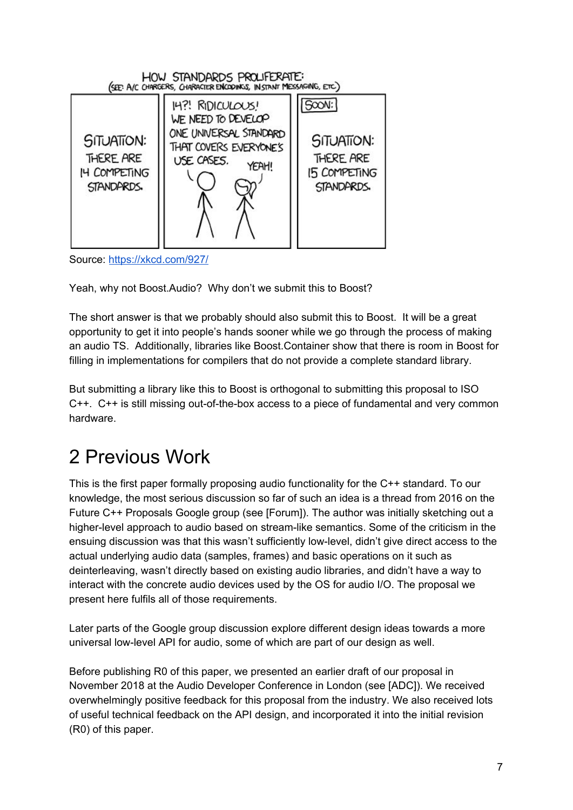

Source: <https://xkcd.com/927/>

Yeah, why not Boost.Audio? Why don't we submit this to Boost?

The short answer is that we probably should also submit this to Boost. It will be a great opportunity to get it into people's hands sooner while we go through the process of making an audio TS. Additionally, libraries like Boost.Container show that there is room in Boost for filling in implementations for compilers that do not provide a complete standard library.

But submitting a library like this to Boost is orthogonal to submitting this proposal to ISO C++. C++ is still missing out-of-the-box access to a piece of fundamental and very common hardware.

# <span id="page-6-0"></span>2 Previous Work

This is the first paper formally proposing audio functionality for the C++ standard. To our knowledge, the most serious discussion so far of such an idea is a thread from 2016 on the Future C++ Proposals Google group (see [Forum]). The author was initially sketching out a higher-level approach to audio based on stream-like semantics. Some of the criticism in the ensuing discussion was that this wasn't sufficiently low-level, didn't give direct access to the actual underlying audio data (samples, frames) and basic operations on it such as deinterleaving, wasn't directly based on existing audio libraries, and didn't have a way to interact with the concrete audio devices used by the OS for audio I/O. The proposal we present here fulfils all of those requirements.

Later parts of the Google group discussion explore different design ideas towards a more universal low-level API for audio, some of which are part of our design as well.

Before publishing R0 of this paper, we presented an earlier draft of our proposal in November 2018 at the Audio Developer Conference in London (see [ADC]). We received overwhelmingly positive feedback for this proposal from the industry. We also received lots of useful technical feedback on the API design, and incorporated it into the initial revision (R0) of this paper.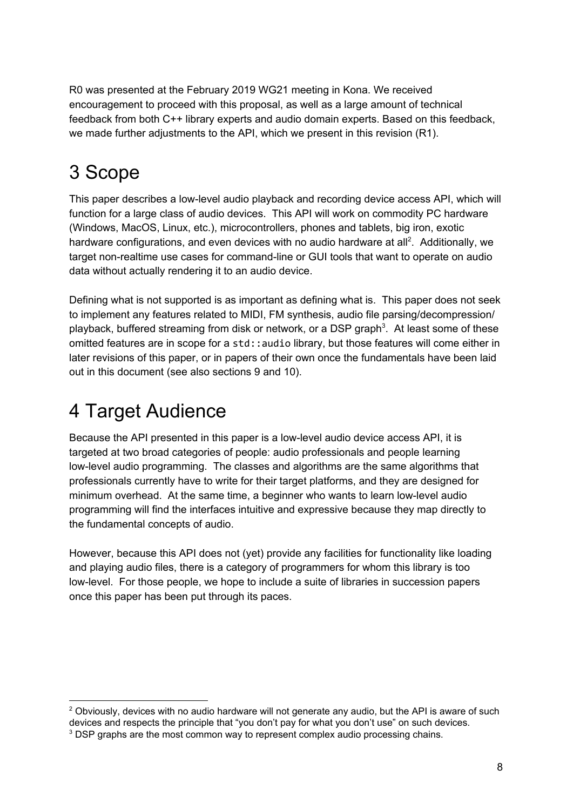R0 was presented at the February 2019 WG21 meeting in Kona. We received encouragement to proceed with this proposal, as well as a large amount of technical feedback from both C++ library experts and audio domain experts. Based on this feedback, we made further adjustments to the API, which we present in this revision (R1).

# <span id="page-7-0"></span>3 Scope

This paper describes a low-level audio playback and recording device access API, which will function for a large class of audio devices. This API will work on commodity PC hardware (Windows, MacOS, Linux, etc.), microcontrollers, phones and tablets, big iron, exotic hardware configurations, and even devices with no audio hardware at all<sup>2</sup>. Additionally, we target non-realtime use cases for command-line or GUI tools that want to operate on audio data without actually rendering it to an audio device.

Defining what is not supported is as important as defining what is. This paper does not seek to implement any features related to MIDI, FM synthesis, audio file parsing/decompression/ playback, buffered streaming from disk or network, or a DSP graph<sup>3</sup>. At least some of these omitted features are in scope for a std::audio library, but those features will come either in later revisions of this paper, or in papers of their own once the fundamentals have been laid out in this document (see also sections 9 and 10).

# <span id="page-7-1"></span>4 Target Audience

Because the API presented in this paper is a low-level audio device access API, it is targeted at two broad categories of people: audio professionals and people learning low-level audio programming. The classes and algorithms are the same algorithms that professionals currently have to write for their target platforms, and they are designed for minimum overhead. At the same time, a beginner who wants to learn low-level audio programming will find the interfaces intuitive and expressive because they map directly to the fundamental concepts of audio.

However, because this API does not (yet) provide any facilities for functionality like loading and playing audio files, there is a category of programmers for whom this library is too low-level. For those people, we hope to include a suite of libraries in succession papers once this paper has been put through its paces.

 $2$  Obviously, devices with no audio hardware will not generate any audio, but the API is aware of such devices and respects the principle that "you don't pay for what you don't use" on such devices. <sup>3</sup> DSP graphs are the most common way to represent complex audio processing chains.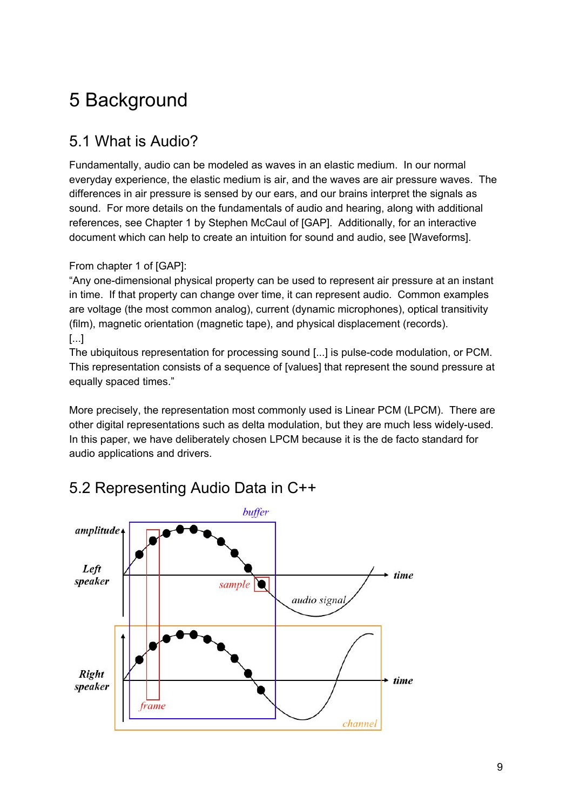# <span id="page-8-0"></span>5 Background

### <span id="page-8-1"></span>5.1 What is Audio?

Fundamentally, audio can be modeled as waves in an elastic medium. In our normal everyday experience, the elastic medium is air, and the waves are air pressure waves. The differences in air pressure is sensed by our ears, and our brains interpret the signals as sound. For more details on the fundamentals of audio and hearing, along with additional references, see Chapter 1 by Stephen McCaul of [GAP]. Additionally, for an interactive document which can help to create an intuition for sound and audio, see [Waveforms].

#### From chapter 1 of [GAP]:

"Any one-dimensional physical property can be used to represent air pressure at an instant in time. If that property can change over time, it can represent audio. Common examples are voltage (the most common analog), current (dynamic microphones), optical transitivity (film), magnetic orientation (magnetic tape), and physical displacement (records). [...]

The ubiquitous representation for processing sound [...] is pulse-code modulation, or PCM. This representation consists of a sequence of [values] that represent the sound pressure at equally spaced times."

More precisely, the representation most commonly used is Linear PCM (LPCM). There are other digital representations such as delta modulation, but they are much less widely-used. In this paper, we have deliberately chosen LPCM because it is the de facto standard for audio applications and drivers.



#### <span id="page-8-2"></span>5.2 Representing Audio Data in C++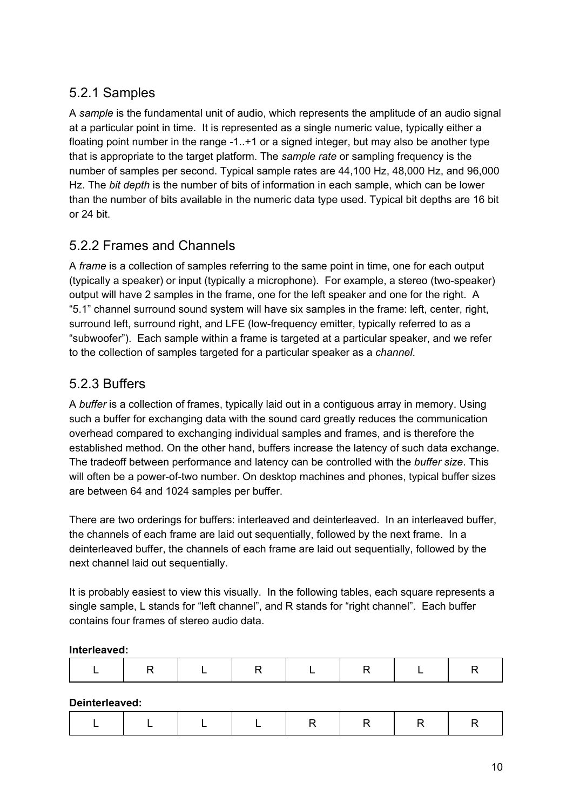#### <span id="page-9-0"></span>5.2.1 Samples

A *sample* is the fundamental unit of audio, which represents the amplitude of an audio signal at a particular point in time. It is represented as a single numeric value, typically either a floating point number in the range -1..+1 or a signed integer, but may also be another type that is appropriate to the target platform. The *sample rate* or sampling frequency is the number of samples per second. Typical sample rates are 44,100 Hz, 48,000 Hz, and 96,000 Hz. The *bit depth* is the number of bits of information in each sample, which can be lower than the number of bits available in the numeric data type used. Typical bit depths are 16 bit or 24 bit.

#### <span id="page-9-1"></span>5.2.2 Frames and Channels

A *frame* is a collection of samples referring to the same point in time, one for each output (typically a speaker) or input (typically a microphone). For example, a stereo (two-speaker) output will have 2 samples in the frame, one for the left speaker and one for the right. A "5.1" channel surround sound system will have six samples in the frame: left, center, right, surround left, surround right, and LFE (low-frequency emitter, typically referred to as a "subwoofer"). Each sample within a frame is targeted at a particular speaker, and we refer to the collection of samples targeted for a particular speaker as a *channel*.

#### <span id="page-9-2"></span>5.2.3 Buffers

A *buffer* is a collection of frames, typically laid out in a contiguous array in memory. Using such a buffer for exchanging data with the sound card greatly reduces the communication overhead compared to exchanging individual samples and frames, and is therefore the established method. On the other hand, buffers increase the latency of such data exchange. The tradeoff between performance and latency can be controlled with the *buffer size*. This will often be a power-of-two number. On desktop machines and phones, typical buffer sizes are between 64 and 1024 samples per buffer.

There are two orderings for buffers: interleaved and deinterleaved. In an interleaved buffer, the channels of each frame are laid out sequentially, followed by the next frame. In a deinterleaved buffer, the channels of each frame are laid out sequentially, followed by the next channel laid out sequentially.

It is probably easiest to view this visually. In the following tables, each square represents a single sample, L stands for "left channel", and R stands for "right channel". Each buffer contains four frames of stereo audio data.

#### **Interleaved:**

|--|--|--|--|--|--|--|--|

**Deinterleaved:**

|--|--|--|--|--|--|--|--|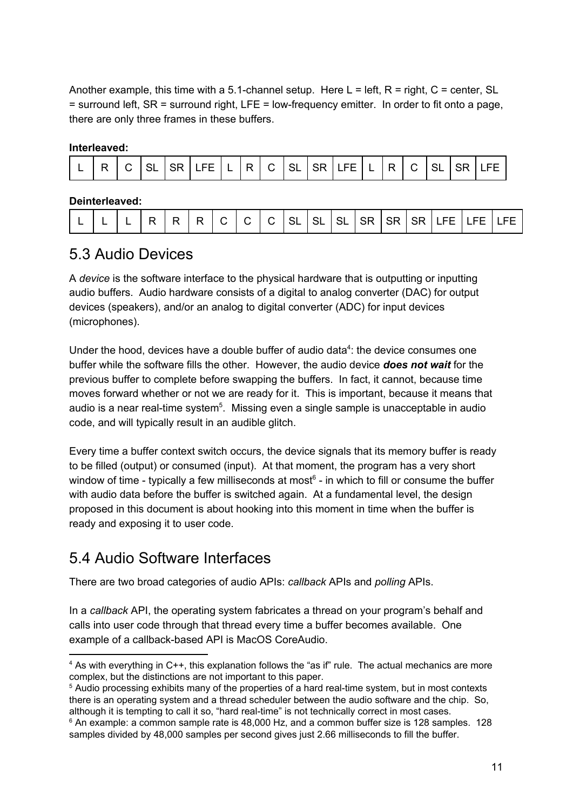Another example, this time with a 5.1-channel setup. Here  $L = \text{left}$ , R = right, C = center, SL  $=$  surround left, SR  $=$  surround right, LFE  $=$  low-frequency emitter. In order to fit onto a page, there are only three frames in these buffers.

#### **Interleaved:**

| - | -<br>- |  |  | $- -$<br>ᄂᄂ |  | $\overline{ }$ |  |  |  | $- -$<br>⊢∟ |  | . . |  |  |  | $- -$ |
|---|--------|--|--|-------------|--|----------------|--|--|--|-------------|--|-----|--|--|--|-------|
|---|--------|--|--|-------------|--|----------------|--|--|--|-------------|--|-----|--|--|--|-------|

#### **Deinterleaved:**

|  |  |  | D | ັ | ◡ |  |  |  | $\degree$ I C $\vert$ SL $\vert$ SL $\vert$ J $\Box$ |  | SLI |  |  |  | ISR ISR ISR ILFE IL | - F F F | $\Box$ FF |
|--|--|--|---|---|---|--|--|--|------------------------------------------------------|--|-----|--|--|--|---------------------|---------|-----------|
|--|--|--|---|---|---|--|--|--|------------------------------------------------------|--|-----|--|--|--|---------------------|---------|-----------|

#### <span id="page-10-0"></span>5.3 Audio Devices

A *device* is the software interface to the physical hardware that is outputting or inputting audio buffers. Audio hardware consists of a digital to analog converter (DAC) for output devices (speakers), and/or an analog to digital converter (ADC) for input devices (microphones).

Under the hood, devices have a double buffer of audio data $4$ : the device consumes one buffer while the software fills the other. However, the audio device *does not wait* for the previous buffer to complete before swapping the buffers. In fact, it cannot, because time moves forward whether or not we are ready for it. This is important, because it means that audio is a near real-time system<sup>5</sup>. Missing even a single sample is unacceptable in audio code, and will typically result in an audible glitch.

Every time a buffer context switch occurs, the device signals that its memory buffer is ready to be filled (output) or consumed (input). At that moment, the program has a very short window of time - typically a few milliseconds at most<sup>6</sup> - in which to fill or consume the buffer with audio data before the buffer is switched again. At a fundamental level, the design proposed in this document is about hooking into this moment in time when the buffer is ready and exposing it to user code.

#### <span id="page-10-1"></span>5.4 Audio Software Interfaces

There are two broad categories of audio APIs: *callback* APIs and *polling* APIs.

In a *callback* API, the operating system fabricates a thread on your program's behalf and calls into user code through that thread every time a buffer becomes available. One example of a callback-based API is MacOS CoreAudio.

<sup>4</sup> As with everything in C++, this explanation follows the "as if" rule. The actual mechanics are more complex, but the distinctions are not important to this paper.

<sup>5</sup> Audio processing exhibits many of the properties of a hard real-time system, but in most contexts there is an operating system and a thread scheduler between the audio software and the chip. So, although it is tempting to call it so, "hard real-time" is not technically correct in most cases.

 $6$  An example: a common sample rate is 48,000 Hz, and a common buffer size is 128 samples. 128 samples divided by 48,000 samples per second gives just 2.66 milliseconds to fill the buffer.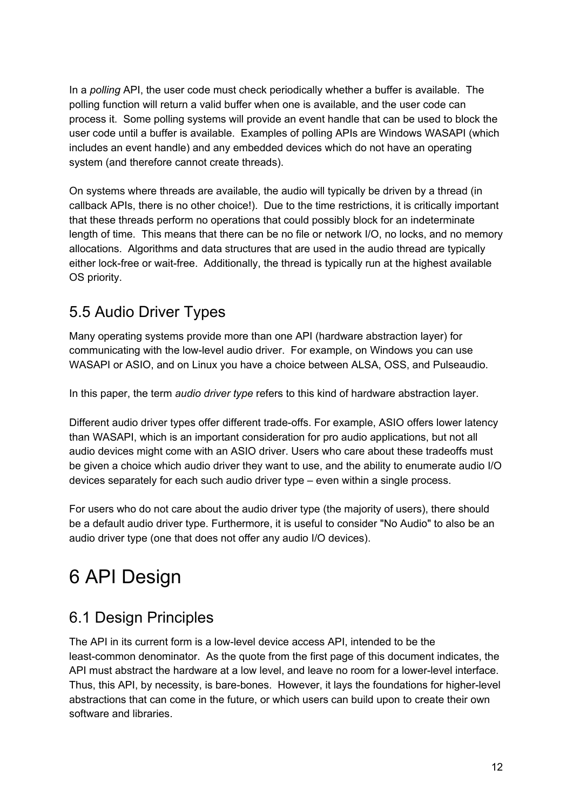In a *polling* API, the user code must check periodically whether a buffer is available. The polling function will return a valid buffer when one is available, and the user code can process it. Some polling systems will provide an event handle that can be used to block the user code until a buffer is available. Examples of polling APIs are Windows WASAPI (which includes an event handle) and any embedded devices which do not have an operating system (and therefore cannot create threads).

On systems where threads are available, the audio will typically be driven by a thread (in callback APIs, there is no other choice!). Due to the time restrictions, it is critically important that these threads perform no operations that could possibly block for an indeterminate length of time. This means that there can be no file or network I/O, no locks, and no memory allocations. Algorithms and data structures that are used in the audio thread are typically either lock-free or wait-free. Additionally, the thread is typically run at the highest available OS priority.

### <span id="page-11-0"></span>5.5 Audio Driver Types

Many operating systems provide more than one API (hardware abstraction layer) for communicating with the low-level audio driver. For example, on Windows you can use WASAPI or ASIO, and on Linux you have a choice between ALSA, OSS, and Pulseaudio.

In this paper, the term *audio driver type* refers to this kind of hardware abstraction layer.

Different audio driver types offer different trade-offs. For example, ASIO offers lower latency than WASAPI, which is an important consideration for pro audio applications, but not all audio devices might come with an ASIO driver. Users who care about these tradeoffs must be given a choice which audio driver they want to use, and the ability to enumerate audio I/O devices separately for each such audio driver type – even within a single process.

For users who do not care about the audio driver type (the majority of users), there should be a default audio driver type. Furthermore, it is useful to consider "No Audio" to also be an audio driver type (one that does not offer any audio I/O devices).

# <span id="page-11-1"></span>6 API Design

### <span id="page-11-2"></span>6.1 Design Principles

The API in its current form is a low-level device access API, intended to be the least-common denominator. As the quote from the first page of this document indicates, the API must abstract the hardware at a low level, and leave no room for a lower-level interface. Thus, this API, by necessity, is bare-bones. However, it lays the foundations for higher-level abstractions that can come in the future, or which users can build upon to create their own software and libraries.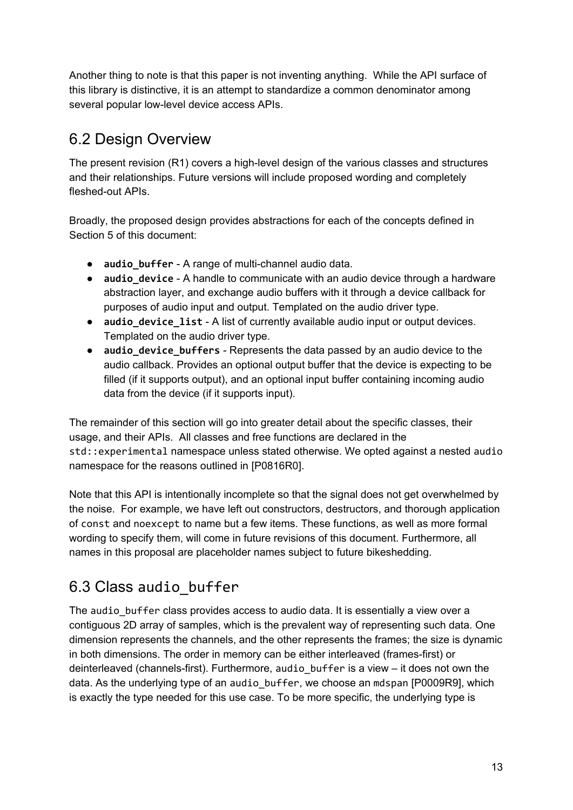Another thing to note is that this paper is not inventing anything. While the API surface of this library is distinctive, it is an attempt to standardize a common denominator among several popular low-level device access APIs.

### <span id="page-12-0"></span>6.2 Design Overview

The present revision (R1) covers a high-level design of the various classes and structures and their relationships. Future versions will include proposed wording and completely fleshed-out APIs.

Broadly, the proposed design provides abstractions for each of the concepts defined in Section 5 of this document:

- **audio\_buffer** A range of multi-channel audio data.
- **audio** device A handle to communicate with an audio device through a hardware abstraction layer, and exchange audio buffers with it through a device callback for purposes of audio input and output. Templated on the audio driver type.
- **audio device list** A list of currently available audio input or output devices. Templated on the audio driver type.
- **audio\_device\_buffers** Represents the data passed by an audio device to the audio callback. Provides an optional output buffer that the device is expecting to be filled (if it supports output), and an optional input buffer containing incoming audio data from the device (if it supports input).

The remainder of this section will go into greater detail about the specific classes, their usage, and their APIs. All classes and free functions are declared in the std::experimental namespace unless stated otherwise. We opted against a nested audio namespace for the reasons outlined in [P0816R0].

Note that this API is intentionally incomplete so that the signal does not get overwhelmed by the noise. For example, we have left out constructors, destructors, and thorough application of const and noexcept to name but a few items. These functions, as well as more formal wording to specify them, will come in future revisions of this document. Furthermore, all names in this proposal are placeholder names subject to future bikeshedding.

## <span id="page-12-1"></span>6.3 Class audio\_buffer

The audio\_buffer class provides access to audio data. It is essentially a view over a contiguous 2D array of samples, which is the prevalent way of representing such data. One dimension represents the channels, and the other represents the frames; the size is dynamic in both dimensions. The order in memory can be either interleaved (frames-first) or deinterleaved (channels-first). Furthermore, audio\_buffer is a view – it does not own the data. As the underlying type of an audio\_buffer, we choose an mdspan [P0009R9], which is exactly the type needed for this use case. To be more specific, the underlying type is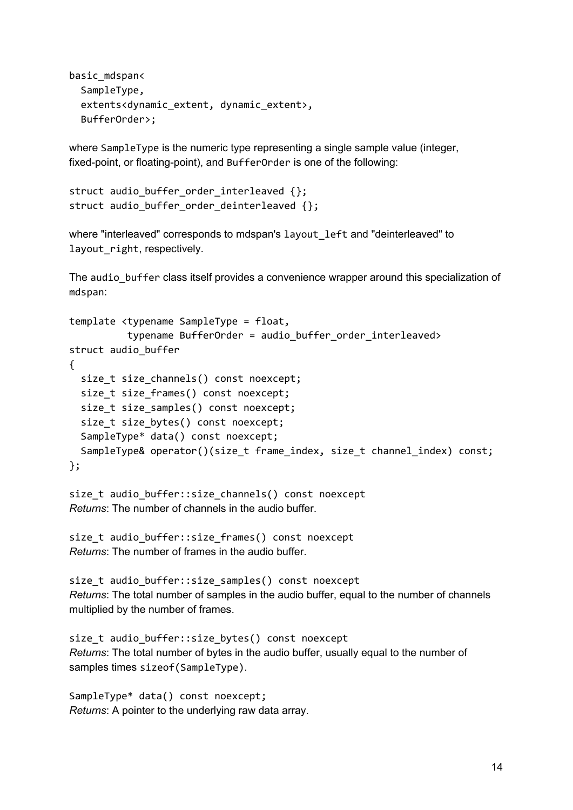```
basic_mdspan<
  SampleType,
  extents<dynamic_extent, dynamic_extent>,
  BufferOrder>;
```
where SampleType is the numeric type representing a single sample value (integer, fixed-point, or floating-point), and BufferOrder is one of the following:

```
struct audio_buffer_order_interleaved {};
struct audio_buffer_order_deinterleaved {};
```
where "interleaved" corresponds to mdspan's layout left and "deinterleaved" to layout right, respectively.

The audio buffer class itself provides a convenience wrapper around this specialization of mdspan:

```
template <typename SampleType = float,
          typename BufferOrder = audio_buffer_order_interleaved>
struct audio_buffer
{
  size t size channels() const noexcept;
  size t size frames() const noexcept;
  size t size samples() const noexcept;
  size t size bytes() const noexcept;
  SampleType* data() const noexcept;
 SampleType& operator()(size_t frame_index, size_t channel_index) const;
};
```

```
size_t audio_buffer::size_channels() const noexcept
Returns: The number of channels in the audio buffer.
```

```
size_t audio_buffer::size_frames() const noexcept
Returns: The number of frames in the audio buffer.
```
size\_t audio\_buffer::size\_samples() const noexcept *Returns*: The total number of samples in the audio buffer, equal to the number of channels multiplied by the number of frames.

```
size_t audio_buffer::size_bytes() const noexcept
Returns: The total number of bytes in the audio buffer, usually equal to the number of
samples times sizeof(SampleType).
```

```
SampleType* data() const noexcept;
Returns: A pointer to the underlying raw data array.
```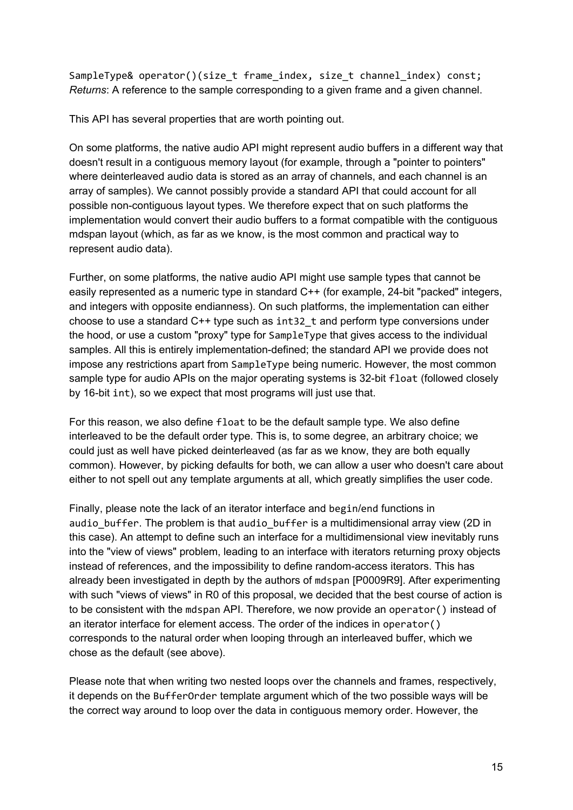SampleType& operator()(size\_t frame\_index, size\_t channel\_index) const; *Returns*: A reference to the sample corresponding to a given frame and a given channel.

This API has several properties that are worth pointing out.

On some platforms, the native audio API might represent audio buffers in a different way that doesn't result in a contiguous memory layout (for example, through a "pointer to pointers" where deinterleaved audio data is stored as an array of channels, and each channel is an array of samples). We cannot possibly provide a standard API that could account for all possible non-contiguous layout types. We therefore expect that on such platforms the implementation would convert their audio buffers to a format compatible with the contiguous mdspan layout (which, as far as we know, is the most common and practical way to represent audio data).

Further, on some platforms, the native audio API might use sample types that cannot be easily represented as a numeric type in standard C++ (for example, 24-bit "packed" integers, and integers with opposite endianness). On such platforms, the implementation can either choose to use a standard  $C_{++}$  type such as  $int32$  t and perform type conversions under the hood, or use a custom "proxy" type for SampleType that gives access to the individual samples. All this is entirely implementation-defined; the standard API we provide does not impose any restrictions apart from SampleType being numeric. However, the most common sample type for audio APIs on the major operating systems is 32-bit float (followed closely by 16-bit int), so we expect that most programs will just use that.

For this reason, we also define float to be the default sample type. We also define interleaved to be the default order type. This is, to some degree, an arbitrary choice; we could just as well have picked deinterleaved (as far as we know, they are both equally common). However, by picking defaults for both, we can allow a user who doesn't care about either to not spell out any template arguments at all, which greatly simplifies the user code.

Finally, please note the lack of an iterator interface and begin/end functions in audio buffer. The problem is that audio buffer is a multidimensional array view (2D in this case). An attempt to define such an interface for a multidimensional view inevitably runs into the "view of views" problem, leading to an interface with iterators returning proxy objects instead of references, and the impossibility to define random-access iterators. This has already been investigated in depth by the authors of mdspan [P0009R9]. After experimenting with such "views of views" in R0 of this proposal, we decided that the best course of action is to be consistent with the mdspan API. Therefore, we now provide an operator() instead of an iterator interface for element access. The order of the indices in operator() corresponds to the natural order when looping through an interleaved buffer, which we chose as the default (see above).

Please note that when writing two nested loops over the channels and frames, respectively, it depends on the BufferOrder template argument which of the two possible ways will be the correct way around to loop over the data in contiguous memory order. However, the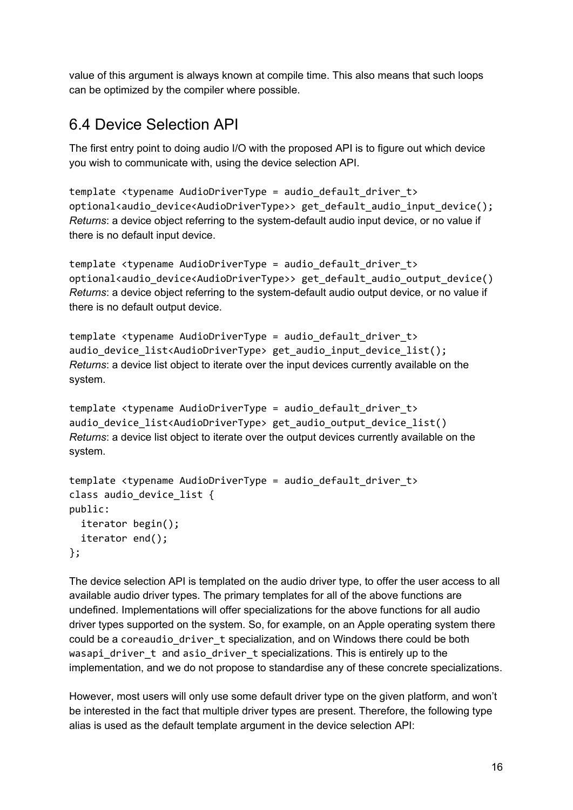value of this argument is always known at compile time. This also means that such loops can be optimized by the compiler where possible.

#### <span id="page-15-0"></span>6.4 Device Selection API

The first entry point to doing audio I/O with the proposed API is to figure out which device you wish to communicate with, using the device selection API.

```
template <typename AudioDriverType = audio_default_driver_t>
optional<audio_device<AudioDriverType>> get_default_audio_input_device();
Returns: a device object referring to the system-default audio input device, or no value if
there is no default input device.
```

```
template <typename AudioDriverType = audio_default_driver_t>
optional<audio device<AudioDriverType>> get default audio output device()
Returns: a device object referring to the system-default audio output device, or no value if
there is no default output device.
```

```
template <typename AudioDriverType = audio default driver t>
audio device list<AudioDriverType> get audio input device list();
Returns: a device list object to iterate over the input devices currently available on the
system.
```

```
template <typename AudioDriverType = audio_default_driver_t>
audio device list<AudioDriverType> get audio output device list()
Returns: a device list object to iterate over the output devices currently available on the
system.
```

```
template <typename AudioDriverType = audio_default_driver_t>
class audio_device_list {
public:
  iterator begin();
  iterator end();
};
```
The device selection API is templated on the audio driver type, to offer the user access to all available audio driver types. The primary templates for all of the above functions are undefined. Implementations will offer specializations for the above functions for all audio driver types supported on the system. So, for example, on an Apple operating system there could be a coreaudio\_driver\_t specialization, and on Windows there could be both wasapi\_driver\_t and asio\_driver\_t specializations. This is entirely up to the implementation, and we do not propose to standardise any of these concrete specializations.

However, most users will only use some default driver type on the given platform, and won't be interested in the fact that multiple driver types are present. Therefore, the following type alias is used as the default template argument in the device selection API: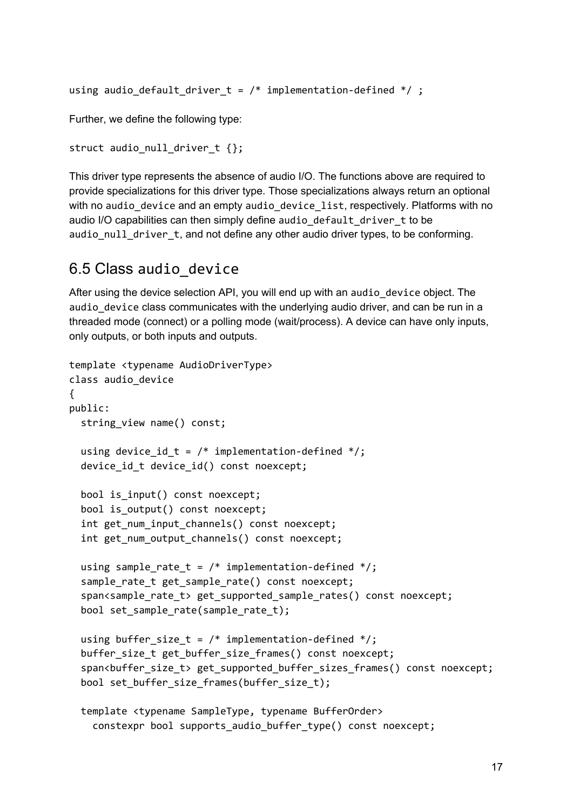```
using audio_default_driver_t = /* implementation-defined */;
```
Further, we define the following type:

```
struct audio null driver t {};
```
This driver type represents the absence of audio I/O. The functions above are required to provide specializations for this driver type. Those specializations always return an optional with no audio\_device and an empty audio\_device\_list, respectively. Platforms with no audio I/O capabilities can then simply define audio\_default\_driver\_t to be audio null driver t, and not define any other audio driver types, to be conforming.

#### <span id="page-16-0"></span>6.5 Class audio\_device

After using the device selection API, you will end up with an audio device object. The audio device class communicates with the underlying audio driver, and can be run in a threaded mode (connect) or a polling mode (wait/process). A device can have only inputs, only outputs, or both inputs and outputs.

```
template <typename AudioDriverType>
class audio_device
{
public:
  string view name() const;
  using device_id_t = /* implementation-defined */;device_id_t device_id() const noexcept;
  bool is_input() const noexcept;
  bool is_output() const noexcept;
  int get_num_input_channels() const noexcept;
  int get_num_output_channels() const noexcept;
  using sample_rate_t = /* implementation-defined */;sample_rate_t get_sample_rate() const noexcept;
  span<sample_rate_t> get_supported_sample_rates() const noexcept;
  bool set_sample_rate(sample_rate_t);
  using buffer_size_t = /* implementation-defined */;buffer_size_t get_buffer_size_frames() const noexcept;
  span<br/>buffer_size_t> get_supported_buffer_sizes_frames() const noexcept;
  bool set_buffer_size_frames(buffer_size_t);
  template <typename SampleType, typename BufferOrder>
    constexpr bool supports_audio_buffer_type() const noexcept;
```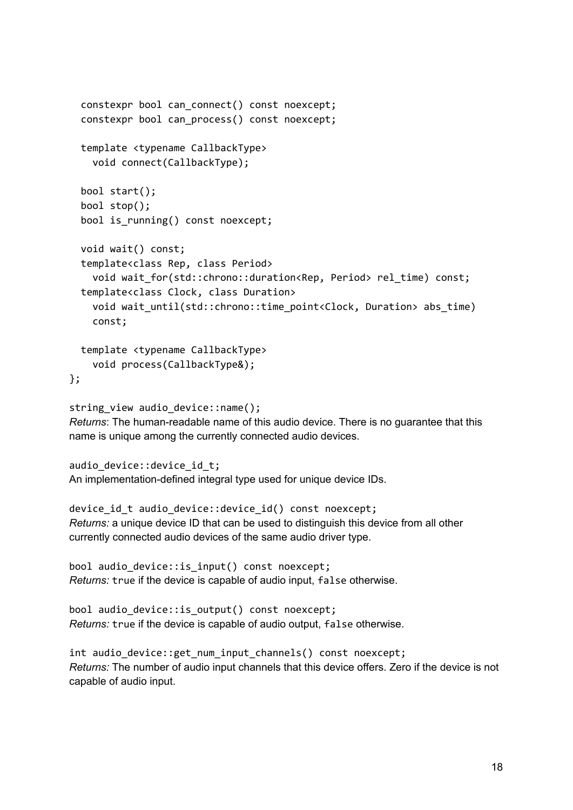```
constexpr bool can connect() const noexcept;
  constexpr bool can_process() const noexcept;
  template <typename CallbackType>
    void connect(CallbackType);
  bool start();
  bool stop();
  bool is running() const noexcept;
  void wait() const;
  template<class Rep, class Period>
    void wait for(std::chrono::duration<Rep, Period> rel time) const;
  template<class Clock, class Duration>
    void wait until(std::chrono::time point<Clock, Duration> abs time)
    const;
 template <typename CallbackType>
    void process(CallbackType&);
};
```
string view audio device::name(); *Returns*: The human-readable name of this audio device. There is no guarantee that this name is unique among the currently connected audio devices.

```
audio device::device id t;
An implementation-defined integral type used for unique device IDs.
```

```
device_id_t audio_device::device_id() const noexcept;
Returns: a unique device ID that can be used to distinguish this device from all other
currently connected audio devices of the same audio driver type.
```

```
bool audio_device::is_input() const noexcept;
Returns: true if the device is capable of audio input, false otherwise.
```

```
bool audio_device::is_output() const noexcept;
Returns: true if the device is capable of audio output, false otherwise.
```

```
int audio_device::get_num_input_channels() const noexcept;
Returns: The number of audio input channels that this device offers. Zero if the device is not
capable of audio input.
```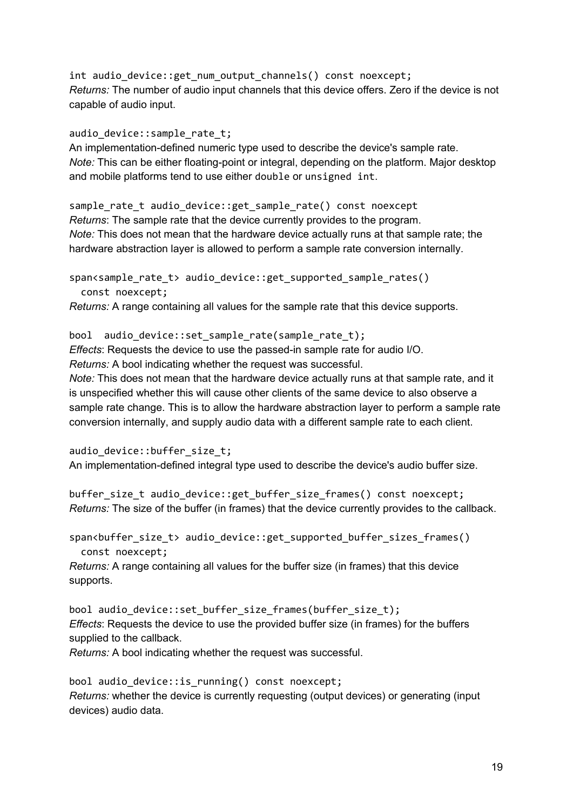int audio\_device::get\_num\_output\_channels() const noexcept; *Returns:* The number of audio input channels that this device offers. Zero if the device is not capable of audio input.

audio\_device::sample\_rate\_t;

An implementation-defined numeric type used to describe the device's sample rate. *Note:* This can be either floating-point or integral, depending on the platform. Major desktop and mobile platforms tend to use either double or unsigned int.

sample\_rate\_t audio\_device::get\_sample\_rate() const noexcept *Returns*: The sample rate that the device currently provides to the program. *Note:* This does not mean that the hardware device actually runs at that sample rate; the hardware abstraction layer is allowed to perform a sample rate conversion internally.

span<sample rate t> audio device::get supported sample rates() const noexcept;

*Returns:* A range containing all values for the sample rate that this device supports.

bool audio device::set sample rate(sample rate t); *Effects*: Requests the device to use the passed-in sample rate for audio I/O. *Returns:* A bool indicating whether the request was successful.

*Note:* This does not mean that the hardware device actually runs at that sample rate, and it is unspecified whether this will cause other clients of the same device to also observe a sample rate change. This is to allow the hardware abstraction layer to perform a sample rate conversion internally, and supply audio data with a different sample rate to each client.

audio\_device::buffer\_size\_t; An implementation-defined integral type used to describe the device's audio buffer size.

buffer\_size\_t audio\_device::get\_buffer\_size\_frames() const noexcept; *Returns:* The size of the buffer (in frames) that the device currently provides to the callback.

span<buffer\_size\_t> audio\_device::get\_supported\_buffer\_sizes\_frames() const noexcept;

*Returns:* A range containing all values for the buffer size (in frames) that this device supports.

bool audio\_device::set\_buffer\_size\_frames(buffer\_size\_t); *Effects*: Requests the device to use the provided buffer size (in frames) for the buffers supplied to the callback.

*Returns:* A bool indicating whether the request was successful.

bool audio\_device::is\_running() const noexcept; *Returns:* whether the device is currently requesting (output devices) or generating (input devices) audio data.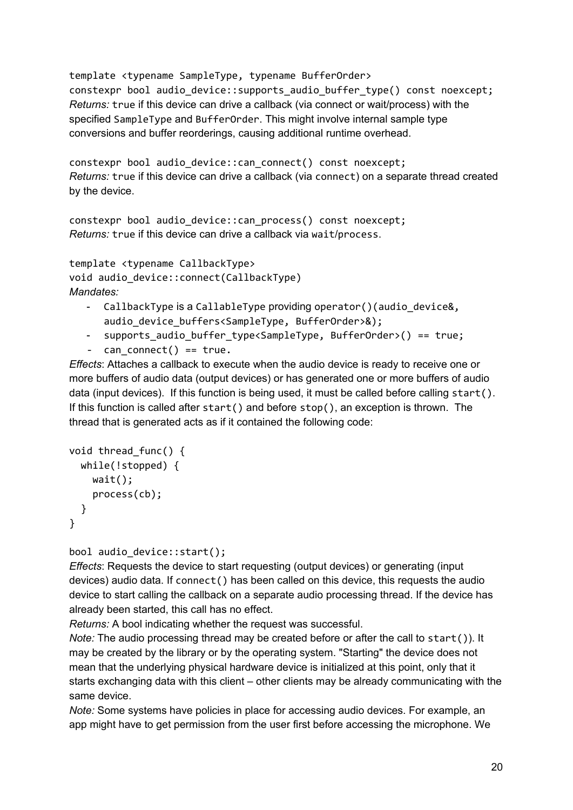template <typename SampleType, typename BufferOrder> constexpr bool audio\_device::supports\_audio\_buffer\_type() const noexcept; *Returns:* true if this device can drive a callback (via connect or wait/process) with the specified SampleType and BufferOrder. This might involve internal sample type conversions and buffer reorderings, causing additional runtime overhead.

constexpr bool audio\_device::can\_connect() const noexcept; *Returns:* true if this device can drive a callback (via connect) on a separate thread created by the device.

constexpr bool audio\_device::can\_process() const noexcept; *Returns:* true if this device can drive a callback via wait/process.

```
template <typename CallbackType>
void audio_device::connect(CallbackType)
Mandates:
```
- CallbackType is a CallableType providing operator()(audio device&, audio device buffers<SampleType, BufferOrder>&);
- supports\_audio\_buffer\_type<SampleType, BufferOrder>() == true;
- can connect() ==  $true.$

*Effects*: Attaches a callback to execute when the audio device is ready to receive one or more buffers of audio data (output devices) or has generated one or more buffers of audio data (input devices). If this function is being used, it must be called before calling start(). If this function is called after start() and before stop(), an exception is thrown. The thread that is generated acts as if it contained the following code:

```
void thread_func() {
 while(!stopped) {
    wait();
    process(cb);
 }
}
```
#### bool audio\_device::start();

*Effects*: Requests the device to start requesting (output devices) or generating (input devices) audio data. If connect() has been called on this device, this requests the audio device to start calling the callback on a separate audio processing thread. If the device has already been started, this call has no effect.

*Returns:* A bool indicating whether the request was successful.

*Note:* The audio processing thread may be created before or after the call to start()). It may be created by the library or by the operating system. "Starting" the device does not mean that the underlying physical hardware device is initialized at this point, only that it starts exchanging data with this client – other clients may be already communicating with the same device.

*Note:* Some systems have policies in place for accessing audio devices. For example, an app might have to get permission from the user first before accessing the microphone. We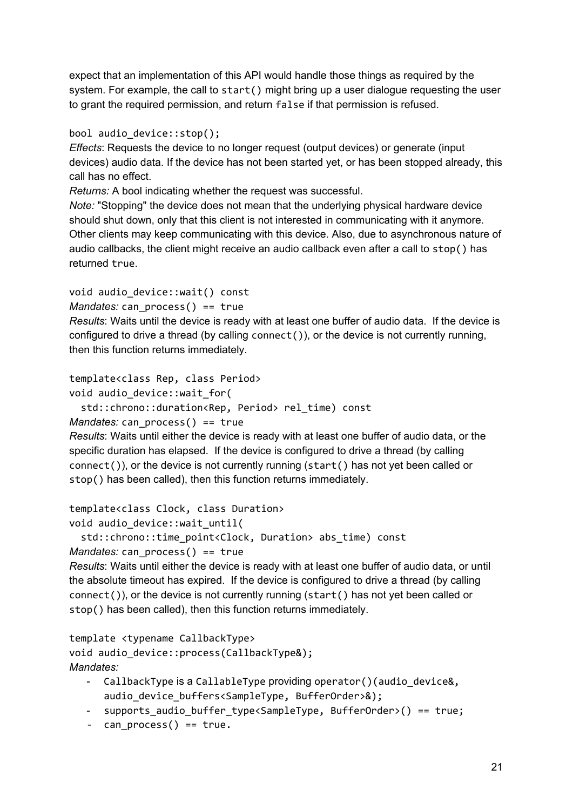expect that an implementation of this API would handle those things as required by the system. For example, the call to start() might bring up a user dialogue requesting the user to grant the required permission, and return false if that permission is refused.

bool audio\_device::stop();

*Effects*: Requests the device to no longer request (output devices) or generate (input devices) audio data. If the device has not been started yet, or has been stopped already, this call has no effect.

*Returns:* A bool indicating whether the request was successful.

*Note:* "Stopping" the device does not mean that the underlying physical hardware device should shut down, only that this client is not interested in communicating with it anymore. Other clients may keep communicating with this device. Also, due to asynchronous nature of audio callbacks, the client might receive an audio callback even after a call to stop() has returned true.

```
void audio_device::wait() const
```

```
Mandates: can process() == true
```
*Results*: Waits until the device is ready with at least one buffer of audio data. If the device is configured to drive a thread (by calling connect()), or the device is not currently running, then this function returns immediately.

```
template<class Rep, class Period>
```

```
void audio device::wait for(
```
std::chrono::duration<Rep, Period> rel\_time) const

```
Mandates: can_process() == true
```
*Results*: Waits until either the device is ready with at least one buffer of audio data, or the specific duration has elapsed. If the device is configured to drive a thread (by calling connect()), or the device is not currently running (start() has not yet been called or stop() has been called), then this function returns immediately.

```
template<class Clock, class Duration>
```

```
void audio_device::wait_until(
```

```
std::chrono::time_point<Clock, Duration> abs_time) const
```

```
Mandates: can process() == true
```
*Results*: Waits until either the device is ready with at least one buffer of audio data, or until the absolute timeout has expired. If the device is configured to drive a thread (by calling connect()), or the device is not currently running (start() has not yet been called or stop() has been called), then this function returns immediately.

```
template <typename CallbackType>
void audio_device::process(CallbackType&);
Mandates:
```
- CallbackType is a CallableType providing operator()(audio\_device&, audio\_device\_buffers<SampleType, BufferOrder>&);
- supports\_audio\_buffer\_type<SampleType, BufferOrder>() == true;
- $can$  process() ==  $true.$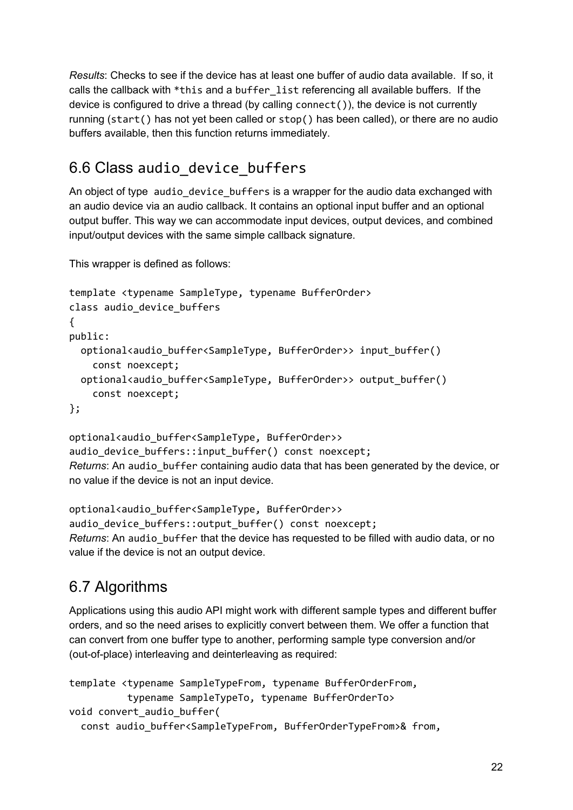*Results*: Checks to see if the device has at least one buffer of audio data available. If so, it calls the callback with \*this and a buffer\_list referencing all available buffers. If the device is configured to drive a thread (by calling connect()), the device is not currently running (start() has not yet been called or stop() has been called), or there are no audio buffers available, then this function returns immediately.

### <span id="page-21-0"></span>6.6 Class audio\_device\_buffers

An object of type audio\_device\_buffers is a wrapper for the audio data exchanged with an audio device via an audio callback. It contains an optional input buffer and an optional output buffer. This way we can accommodate input devices, output devices, and combined input/output devices with the same simple callback signature.

This wrapper is defined as follows:

```
template <typename SampleType, typename BufferOrder>
class audio_device_buffers
{
public:
  optional<audio_buffer<SampleType, BufferOrder>> input_buffer()
    const noexcept;
 optional<audio buffer<SampleType, BufferOrder>> output buffer()
    const noexcept;
};
```
optional<audio\_buffer<SampleType, BufferOrder>> audio\_device\_buffers::input\_buffer() const noexcept; *Returns*: An audio\_buffer containing audio data that has been generated by the device, or no value if the device is not an input device.

optional<audio buffer<SampleType, BufferOrder>> audio\_device\_buffers::output\_buffer() const noexcept; *Returns*: An audio\_buffer that the device has requested to be filled with audio data, or no value if the device is not an output device.

### <span id="page-21-1"></span>6.7 Algorithms

Applications using this audio API might work with different sample types and different buffer orders, and so the need arises to explicitly convert between them. We offer a function that can convert from one buffer type to another, performing sample type conversion and/or (out-of-place) interleaving and deinterleaving as required:

```
template <typename SampleTypeFrom, typename BufferOrderFrom,
          typename SampleTypeTo, typename BufferOrderTo>
void convert_audio_buffer(
  const audio_buffer<SampleTypeFrom, BufferOrderTypeFrom>& from,
```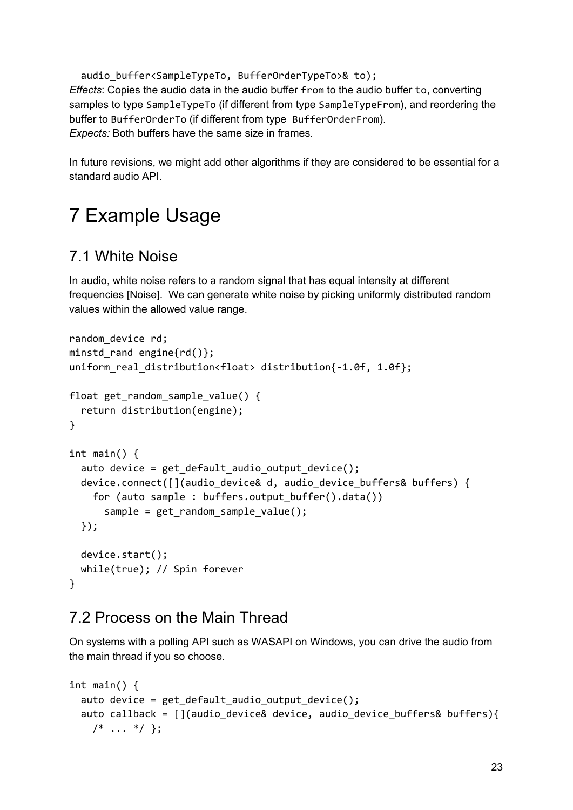audio\_buffer<SampleTypeTo, BufferOrderTypeTo>& to); *Effects*: Copies the audio data in the audio buffer from to the audio buffer to, converting samples to type SampleTypeTo (if different from type SampleTypeFrom), and reordering the buffer to BufferOrderTo (if different from type BufferOrderFrom). *Expects:* Both buffers have the same size in frames.

In future revisions, we might add other algorithms if they are considered to be essential for a standard audio API.

# <span id="page-22-0"></span>7 Example Usage

### <span id="page-22-1"></span>7.1 White Noise

In audio, white noise refers to a random signal that has equal intensity at different frequencies [Noise]. We can generate white noise by picking uniformly distributed random values within the allowed value range.

```
random device rd;
minstd rand engine{rd()};
uniform_real_distribution<float> distribution{-1.0f, 1.0f};
float get random sample value() {
  return distribution(engine);
}
int main() {
  auto device = get_default_audio_output_device();
  device.connect([](audio_device& d, audio_device_buffers& buffers) {
    for (auto sample : buffers.output_buffer().data())
      sample = get_random_sample_value();
  });
 device.start();
 while(true); // Spin forever
}
```
#### <span id="page-22-2"></span>7.2 Process on the Main Thread

On systems with a polling API such as WASAPI on Windows, you can drive the audio from the main thread if you so choose.

```
int main() {
 auto device = get_default_audio_output_device();
 auto callback = [](audio_device& device, audio_device_buffers& buffers){
   /* \ldots */
```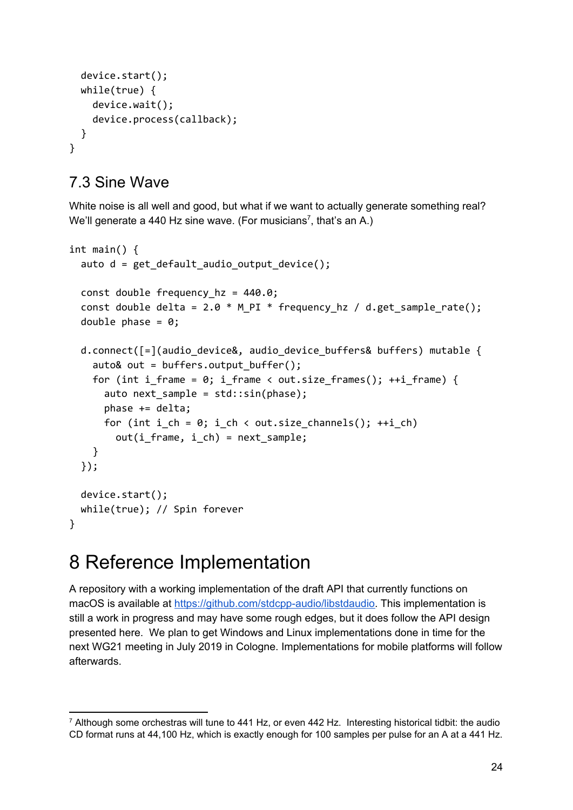```
device.start();
  while(true) {
    device.wait();
    device.process(callback);
  }
}
```
#### <span id="page-23-0"></span>7.3 Sine Wave

White noise is all well and good, but what if we want to actually generate something real? We'll generate a 440 Hz sine wave. (For musicians<sup>7</sup>, that's an A.)

```
int main() {
  auto d = get_default_audio_output_device();
  const double frequency hz = 440.0;const double delta = 2.0 * M PI * frequency hz / d.get sample rate();
  double phase = 0;
  d.connect([=](audio device&, audio device buffers& buffers) mutable {
    auto& out = buffers.output buffer();
    for (int i frame = 0; i frame < out.size frames(); ++i frame) {
      auto next_sample = std::sin(phase);
      phase += delta;
      for (int i ch = 0; i ch < out.size channels(); ++i ch)
        out(i_frame, i_ch) = next_sample;
    }
  });
  device.start();
  while(true); // Spin forever
}
```
## <span id="page-23-1"></span>8 Reference Implementation

A repository with a working implementation of the draft API that currently functions on macOS is available at <https://github.com/stdcpp-audio/libstdaudio>. This implementation is still a work in progress and may have some rough edges, but it does follow the API design presented here. We plan to get Windows and Linux implementations done in time for the next WG21 meeting in July 2019 in Cologne. Implementations for mobile platforms will follow afterwards.

 $7$  Although some orchestras will tune to 441 Hz, or even 442 Hz. Interesting historical tidbit: the audio CD format runs at 44,100 Hz, which is exactly enough for 100 samples per pulse for an A at a 441 Hz.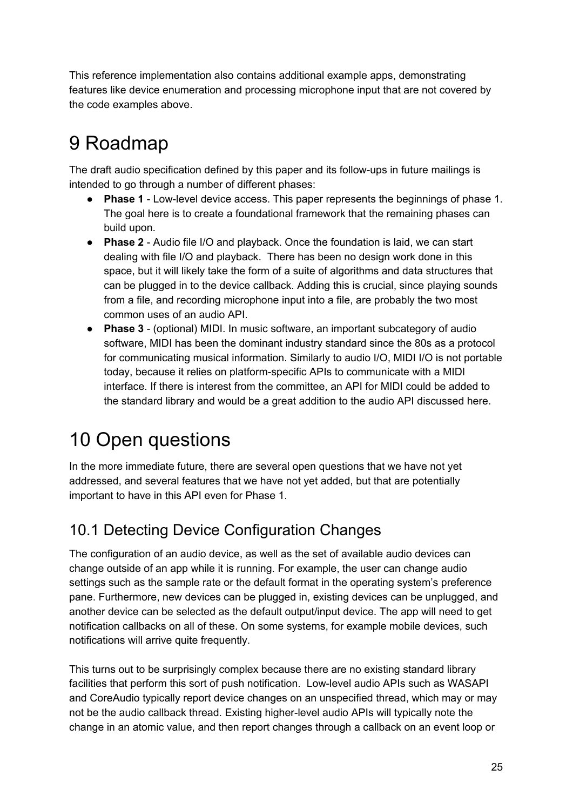This reference implementation also contains additional example apps, demonstrating features like device enumeration and processing microphone input that are not covered by the code examples above.

# <span id="page-24-0"></span>9 Roadmap

The draft audio specification defined by this paper and its follow-ups in future mailings is intended to go through a number of different phases:

- **Phase 1** Low-level device access. This paper represents the beginnings of phase 1. The goal here is to create a foundational framework that the remaining phases can build upon.
- **Phase 2** Audio file I/O and playback. Once the foundation is laid, we can start dealing with file I/O and playback. There has been no design work done in this space, but it will likely take the form of a suite of algorithms and data structures that can be plugged in to the device callback. Adding this is crucial, since playing sounds from a file, and recording microphone input into a file, are probably the two most common uses of an audio API.
- **Phase 3** (optional) MIDI. In music software, an important subcategory of audio software, MIDI has been the dominant industry standard since the 80s as a protocol for communicating musical information. Similarly to audio I/O, MIDI I/O is not portable today, because it relies on platform-specific APIs to communicate with a MIDI interface. If there is interest from the committee, an API for MIDI could be added to the standard library and would be a great addition to the audio API discussed here.

# <span id="page-24-1"></span>10 Open questions

In the more immediate future, there are several open questions that we have not yet addressed, and several features that we have not yet added, but that are potentially important to have in this API even for Phase 1.

### <span id="page-24-2"></span>10.1 Detecting Device Configuration Changes

The configuration of an audio device, as well as the set of available audio devices can change outside of an app while it is running. For example, the user can change audio settings such as the sample rate or the default format in the operating system's preference pane. Furthermore, new devices can be plugged in, existing devices can be unplugged, and another device can be selected as the default output/input device. The app will need to get notification callbacks on all of these. On some systems, for example mobile devices, such notifications will arrive quite frequently.

This turns out to be surprisingly complex because there are no existing standard library facilities that perform this sort of push notification. Low-level audio APIs such as WASAPI and CoreAudio typically report device changes on an unspecified thread, which may or may not be the audio callback thread. Existing higher-level audio APIs will typically note the change in an atomic value, and then report changes through a callback on an event loop or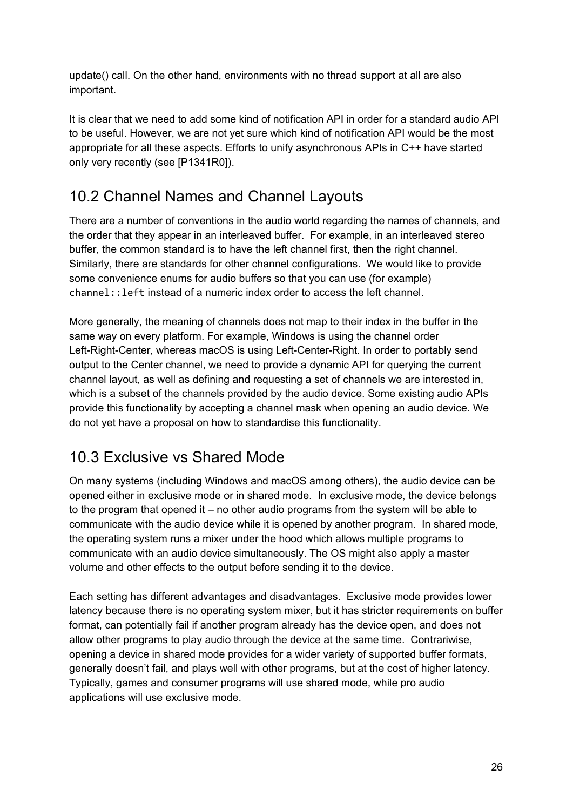update() call. On the other hand, environments with no thread support at all are also important.

It is clear that we need to add some kind of notification API in order for a standard audio API to be useful. However, we are not yet sure which kind of notification API would be the most appropriate for all these aspects. Efforts to unify asynchronous APIs in C++ have started only very recently (see [P1341R0]).

### <span id="page-25-0"></span>10.2 Channel Names and Channel Layouts

There are a number of conventions in the audio world regarding the names of channels, and the order that they appear in an interleaved buffer. For example, in an interleaved stereo buffer, the common standard is to have the left channel first, then the right channel. Similarly, there are standards for other channel configurations. We would like to provide some convenience enums for audio buffers so that you can use (for example) channel::left instead of a numeric index order to access the left channel.

More generally, the meaning of channels does not map to their index in the buffer in the same way on every platform. For example, Windows is using the channel order Left-Right-Center, whereas macOS is using Left-Center-Right. In order to portably send output to the Center channel, we need to provide a dynamic API for querying the current channel layout, as well as defining and requesting a set of channels we are interested in, which is a subset of the channels provided by the audio device. Some existing audio APIs provide this functionality by accepting a channel mask when opening an audio device. We do not yet have a proposal on how to standardise this functionality.

### <span id="page-25-1"></span>10.3 Exclusive vs Shared Mode

On many systems (including Windows and macOS among others), the audio device can be opened either in exclusive mode or in shared mode. In exclusive mode, the device belongs to the program that opened it – no other audio programs from the system will be able to communicate with the audio device while it is opened by another program. In shared mode, the operating system runs a mixer under the hood which allows multiple programs to communicate with an audio device simultaneously. The OS might also apply a master volume and other effects to the output before sending it to the device.

Each setting has different advantages and disadvantages. Exclusive mode provides lower latency because there is no operating system mixer, but it has stricter requirements on buffer format, can potentially fail if another program already has the device open, and does not allow other programs to play audio through the device at the same time. Contrariwise, opening a device in shared mode provides for a wider variety of supported buffer formats, generally doesn't fail, and plays well with other programs, but at the cost of higher latency. Typically, games and consumer programs will use shared mode, while pro audio applications will use exclusive mode.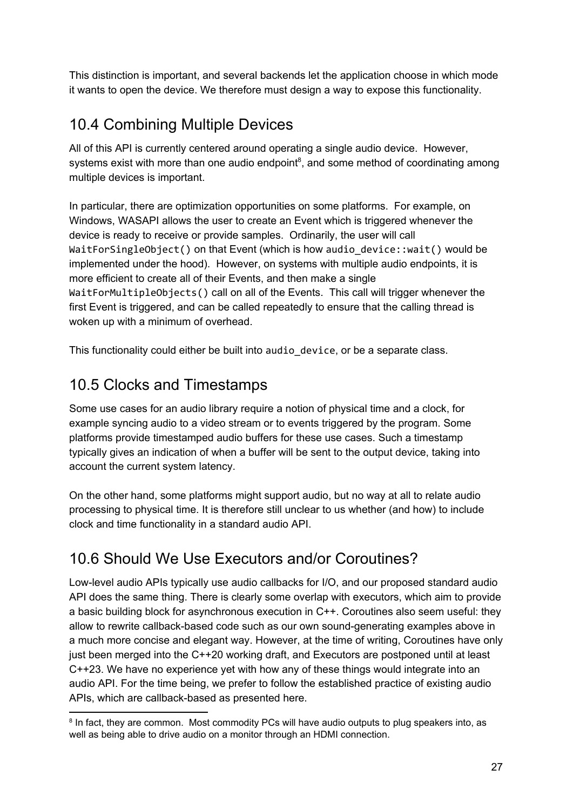This distinction is important, and several backends let the application choose in which mode it wants to open the device. We therefore must design a way to expose this functionality.

### <span id="page-26-0"></span>10.4 Combining Multiple Devices

All of this API is currently centered around operating a single audio device. However, systems exist with more than one audio endpoint $\delta$ , and some method of coordinating among multiple devices is important.

In particular, there are optimization opportunities on some platforms. For example, on Windows, WASAPI allows the user to create an Event which is triggered whenever the device is ready to receive or provide samples. Ordinarily, the user will call WaitForSingleObject() on that Event (which is how audio device::wait() would be implemented under the hood). However, on systems with multiple audio endpoints, it is more efficient to create all of their Events, and then make a single WaitForMultipleObjects() call on all of the Events. This call will trigger whenever the first Event is triggered, and can be called repeatedly to ensure that the calling thread is woken up with a minimum of overhead.

<span id="page-26-1"></span>This functionality could either be built into audio device, or be a separate class.

### 10.5 Clocks and Timestamps

Some use cases for an audio library require a notion of physical time and a clock, for example syncing audio to a video stream or to events triggered by the program. Some platforms provide timestamped audio buffers for these use cases. Such a timestamp typically gives an indication of when a buffer will be sent to the output device, taking into account the current system latency.

On the other hand, some platforms might support audio, but no way at all to relate audio processing to physical time. It is therefore still unclear to us whether (and how) to include clock and time functionality in a standard audio API.

### <span id="page-26-2"></span>10.6 Should We Use Executors and/or Coroutines?

Low-level audio APIs typically use audio callbacks for I/O, and our proposed standard audio API does the same thing. There is clearly some overlap with executors, which aim to provide a basic building block for asynchronous execution in C++. Coroutines also seem useful: they allow to rewrite callback-based code such as our own sound-generating examples above in a much more concise and elegant way. However, at the time of writing, Coroutines have only just been merged into the C++20 working draft, and Executors are postponed until at least C++23. We have no experience yet with how any of these things would integrate into an audio API. For the time being, we prefer to follow the established practice of existing audio APIs, which are callback-based as presented here.

<sup>&</sup>lt;sup>8</sup> In fact, they are common. Most commodity PCs will have audio outputs to plug speakers into, as well as being able to drive audio on a monitor through an HDMI connection.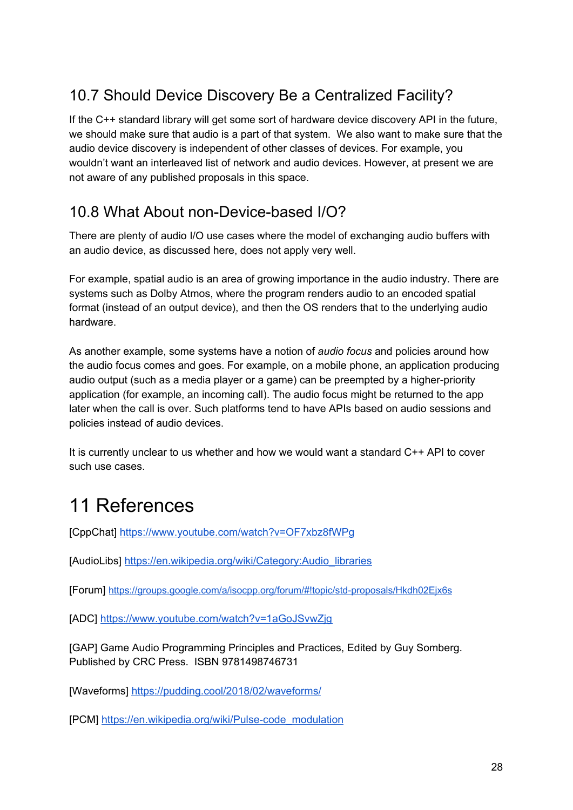### <span id="page-27-0"></span>10.7 Should Device Discovery Be a Centralized Facility?

If the C++ standard library will get some sort of hardware device discovery API in the future, we should make sure that audio is a part of that system. We also want to make sure that the audio device discovery is independent of other classes of devices. For example, you wouldn't want an interleaved list of network and audio devices. However, at present we are not aware of any published proposals in this space.

#### <span id="page-27-1"></span>10.8 What About non-Device-based I/O?

There are plenty of audio I/O use cases where the model of exchanging audio buffers with an audio device, as discussed here, does not apply very well.

For example, spatial audio is an area of growing importance in the audio industry. There are systems such as Dolby Atmos, where the program renders audio to an encoded spatial format (instead of an output device), and then the OS renders that to the underlying audio hardware.

As another example, some systems have a notion of *audio focus* and policies around how the audio focus comes and goes. For example, on a mobile phone, an application producing audio output (such as a media player or a game) can be preempted by a higher-priority application (for example, an incoming call). The audio focus might be returned to the app later when the call is over. Such platforms tend to have APIs based on audio sessions and policies instead of audio devices.

It is currently unclear to us whether and how we would want a standard C++ API to cover such use cases.

# <span id="page-27-2"></span>11 References

[CppChat] <https://www.youtube.com/watch?v=OF7xbz8fWPg>

[AudioLibs] [https://en.wikipedia.org/wiki/Category:Audio\\_libraries](https://en.wikipedia.org/wiki/Category:Audio_libraries)

[Forum] <https://groups.google.com/a/isocpp.org/forum/#!topic/std-proposals/Hkdh02Ejx6s>

[ADC] <https://www.youtube.com/watch?v=1aGoJSvwZjg>

[GAP] Game Audio Programming Principles and Practices, Edited by Guy Somberg. Published by CRC Press. ISBN 9781498746731

[Waveforms] <https://pudding.cool/2018/02/waveforms/>

[PCM] [https://en.wikipedia.org/wiki/Pulse-code\\_modulation](https://en.wikipedia.org/wiki/Pulse-code_modulation)